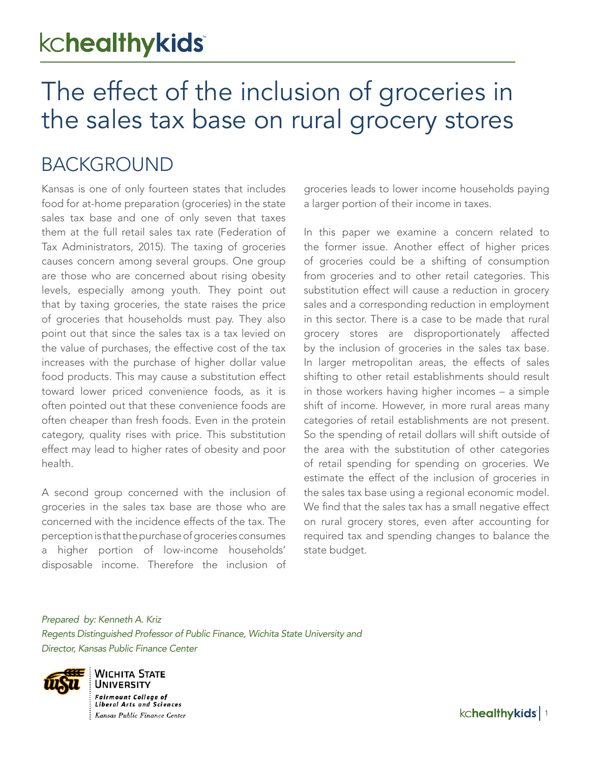# kchealthykids

# The effect of the inclusion of groceries in the sales tax base on rural grocery stores

### BACKGROUND

Kansas is one of only fourteen states that includes food for at-home preparation (groceries) in the state sales tax base and one of only seven that taxes them at the full retail sales tax rate (Federation of Tax Administrators, 2015). The taxing of groceries causes concern among several groups. One group are those who are concerned about rising obesity levels, especially among youth. They point out that by taxing groceries, the state raises the price of groceries that households must pay. They also point out that since the sales tax is a tax levied on the value of purchases, the effective cost of the tax increases with the purchase of higher dollar value food products. This may cause a substitution effect toward lower priced convenience foods, as it is often pointed out that these convenience foods are often cheaper than fresh foods. Even in the protein category, quality rises with price. This substitution effect may lead to higher rates of obesity and poor health.

A second group concerned with the inclusion of groceries in the sales tax base are those who are concerned with the incidence effects of the tax. The perception is that the purchase of groceries consumes a higher portion of low-income households' disposable income. Therefore the inclusion of

groceries leads to lower income households paying a larger portion of their income in taxes.

In this paper we examine a concern related to the former issue. Another effect of higher prices of groceries could be a shifting of consumption from groceries and to other retail categories. This substitution effect will cause a reduction in grocery sales and a corresponding reduction in employment in this sector. There is a case to be made that rural grocery stores are disproportionately affected by the inclusion of groceries in the sales tax base. In larger metropolitan areas, the effects of sales shifting to other retail establishments should result in those workers having higher incomes – a simple shift of income. However, in more rural areas many categories of retail establishments are not present. So the spending of retail dollars will shift outside of the area with the substitution of other categories of retail spending for spending on groceries. We estimate the effect of the inclusion of groceries in the sales tax base using a regional economic model. We find that the sales tax has a small negative effect on rural grocery stores, even after accounting for required tax and spending changes to balance the state budget.

*Prepared by: Kenneth A. Kriz Regents Distinguished Professor of Public Finance, Wichita State University and Director, Kansas Public Finance Center*



**WICHITA STATE UNIVERSITY Fairmount College of Liberal Arts and Sciences** Kansas Public Finance Center

kchealthykids<sup>1</sup>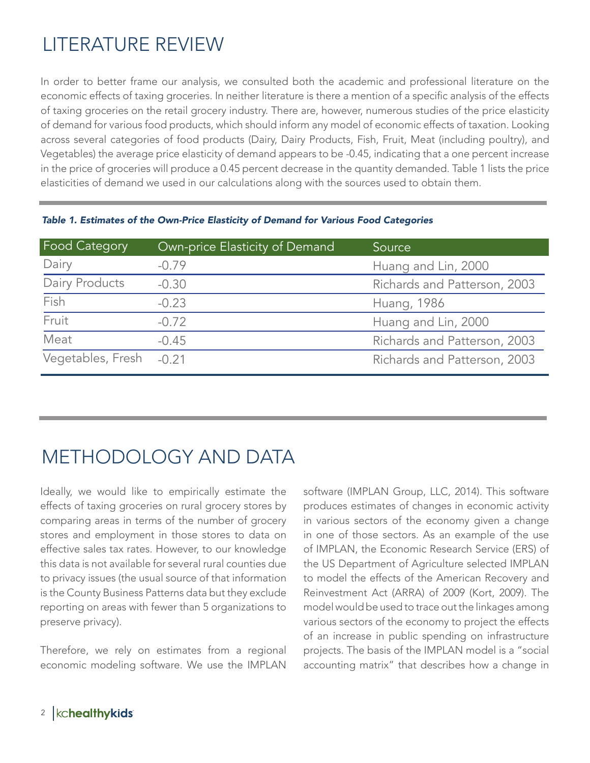## LITERATURE REVIEW

In order to better frame our analysis, we consulted both the academic and professional literature on the economic effects of taxing groceries. In neither literature is there a mention of a specific analysis of the effects of taxing groceries on the retail grocery industry. There are, however, numerous studies of the price elasticity of demand for various food products, which should inform any model of economic effects of taxation. Looking across several categories of food products (Dairy, Dairy Products, Fish, Fruit, Meat (including poultry), and Vegetables) the average price elasticity of demand appears to be -0.45, indicating that a one percent increase in the price of groceries will produce a 0.45 percent decrease in the quantity demanded. Table 1 lists the price elasticities of demand we used in our calculations along with the sources used to obtain them.

| <b>Food Category</b>    | Own-price Elasticity of Demand | Source                       |
|-------------------------|--------------------------------|------------------------------|
| Dairy                   | $-0.79$                        | Huang and Lin, 2000          |
| Dairy Products          | $-0.30$                        | Richards and Patterson, 2003 |
| Fish                    | $-0.23$                        | Huang, 1986                  |
| Fruit                   | $-0.72$                        | Huang and Lin, 2000          |
| Meat                    | $-0.45$                        | Richards and Patterson, 2003 |
| Vegetables, Fresh -0.21 |                                | Richards and Patterson, 2003 |

*Table 1. Estimates of the Own-Price Elasticity of Demand for Various Food Categories*

### METHODOLOGY AND DATA

Ideally, we would like to empirically estimate the effects of taxing groceries on rural grocery stores by comparing areas in terms of the number of grocery stores and employment in those stores to data on effective sales tax rates. However, to our knowledge this data is not available for several rural counties due to privacy issues (the usual source of that information is the County Business Patterns data but they exclude reporting on areas with fewer than 5 organizations to preserve privacy).

Therefore, we rely on estimates from a regional economic modeling software. We use the IMPLAN

software (IMPLAN Group, LLC, 2014). This software produces estimates of changes in economic activity in various sectors of the economy given a change in one of those sectors. As an example of the use of IMPLAN, the Economic Research Service (ERS) of the US Department of Agriculture selected IMPLAN to model the effects of the American Recovery and Reinvestment Act (ARRA) of 2009 (Kort, 2009). The model would be used to trace out the linkages among various sectors of the economy to project the effects of an increase in public spending on infrastructure projects. The basis of the IMPLAN model is a "social accounting matrix" that describes how a change in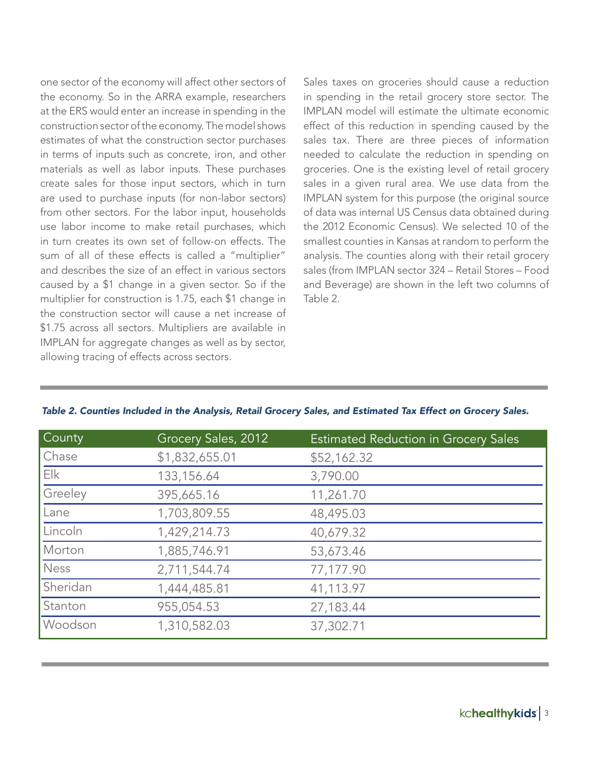one sector of the economy will affect other sectors of the economy. So in the ARRA example, researchers at the ERS would enter an increase in spending in the construction sector of the economy. The model shows estimates of what the construction sector purchases in terms of inputs such as concrete, iron, and other materials as well as labor inputs. These purchases create sales for those input sectors, which in turn are used to purchase inputs (for non-labor sectors) from other sectors. For the labor input, households use labor income to make retail purchases, which in turn creates its own set of follow-on effects. The sum of all of these effects is called a "multiplier" and describes the size of an effect in various sectors caused by a \$1 change in a given sector. So if the multiplier for construction is 1.75, each \$1 change in the construction sector will cause a net increase of \$1.75 across all sectors. Multipliers are available in IMPLAN for aggregate changes as well as by sector, allowing tracing of effects across sectors.

Sales taxes on groceries should cause a reduction in spending in the retail grocery store sector. The IMPLAN model will estimate the ultimate economic effect of this reduction in spending caused by the sales tax. There are three pieces of information needed to calculate the reduction in spending on groceries. One is the existing level of retail grocery sales in a given rural area. We use data from the IMPLAN system for this purpose (the original source of data was internal US Census data obtained during the 2012 Economic Census). We selected 10 of the smallest counties in Kansas at random to perform the analysis. The counties along with their retail grocery sales (from IMPLAN sector 324 – Retail Stores – Food and Beverage) are shown in the left two columns of Table 2.

| County   | Grocery Sales, 2012 | <b>Estimated Reduction in Grocery Sales</b> |
|----------|---------------------|---------------------------------------------|
| Chase    | \$1,832,655.01      | \$52,162.32                                 |
| Elk      | 133,156.64          | 3,790.00                                    |
| Greeley  | 395,665.16          | 11,261.70                                   |
| Lane     | 1,703,809.55        | 48,495.03                                   |
| Lincoln  | 1,429,214.73        | 40,679.32                                   |
| Morton   | 1,885,746.91        | 53,673.46                                   |
| Ness     | 2,711,544.74        | 77,177.90                                   |
| Sheridan | 1,444,485.81        | 41,113.97                                   |
| Stanton  | 955,054.53          | 27,183.44                                   |
| Woodson  | 1,310,582.03        | 37,302.71                                   |

#### *Table 2. Counties Included in the Analysis, Retail Grocery Sales, and Estimated Tax Effect on Grocery Sales.*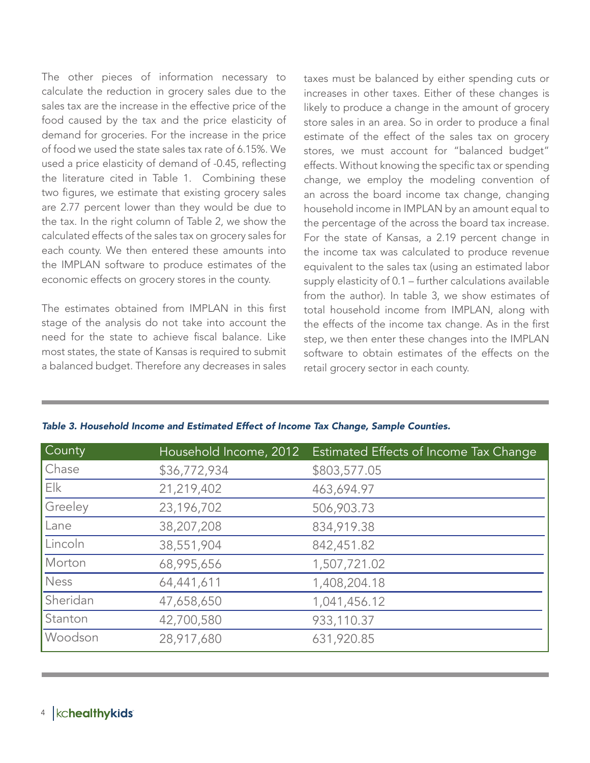The other pieces of information necessary to calculate the reduction in grocery sales due to the sales tax are the increase in the effective price of the food caused by the tax and the price elasticity of demand for groceries. For the increase in the price of food we used the state sales tax rate of 6.15%. We used a price elasticity of demand of -0.45, reflecting the literature cited in Table 1. Combining these two figures, we estimate that existing grocery sales are 2.77 percent lower than they would be due to the tax. In the right column of Table 2, we show the calculated effects of the sales tax on grocery sales for each county. We then entered these amounts into the IMPLAN software to produce estimates of the economic effects on grocery stores in the county.

The estimates obtained from IMPLAN in this first stage of the analysis do not take into account the need for the state to achieve fiscal balance. Like most states, the state of Kansas is required to submit a balanced budget. Therefore any decreases in sales taxes must be balanced by either spending cuts or increases in other taxes. Either of these changes is likely to produce a change in the amount of grocery store sales in an area. So in order to produce a final estimate of the effect of the sales tax on grocery stores, we must account for "balanced budget" effects. Without knowing the specific tax or spending change, we employ the modeling convention of an across the board income tax change, changing household income in IMPLAN by an amount equal to the percentage of the across the board tax increase. For the state of Kansas, a 2.19 percent change in the income tax was calculated to produce revenue equivalent to the sales tax (using an estimated labor supply elasticity of 0.1 – further calculations available from the author). In table 3, we show estimates of total household income from IMPLAN, along with the effects of the income tax change. As in the first step, we then enter these changes into the IMPLAN software to obtain estimates of the effects on the retail grocery sector in each county.

| <b>County</b> | Household Income, 2012 | Estimated Effects of Income Tax Change |
|---------------|------------------------|----------------------------------------|
| Chase         | \$36,772,934           | \$803,577.05                           |
| Elk           | 21,219,402             | 463,694.97                             |
| Greeley       | 23,196,702             | 506,903.73                             |
| Lane          | 38,207,208             | 834,919.38                             |
| Lincoln       | 38,551,904             | 842,451.82                             |
| Morton        | 68,995,656             | 1,507,721.02                           |
| <b>Ness</b>   | 64,441,611             | 1,408,204.18                           |
| Sheridan      | 47,658,650             | 1,041,456.12                           |
| Stanton       | 42,700,580             | 933,110.37                             |
| Woodson       | 28,917,680             | 631,920.85                             |

l

*Table 3. Household Income and Estimated Effect of Income Tax Change, Sample Counties.*

### 4 | kchealthykids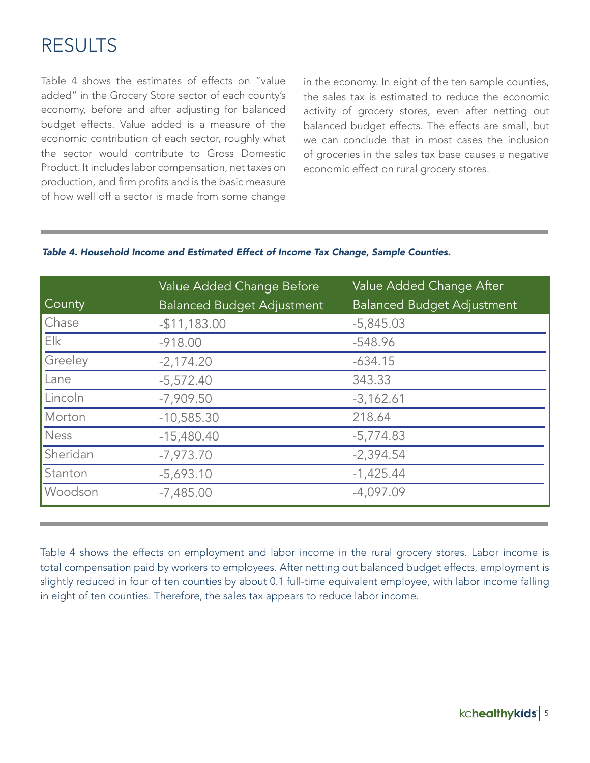## RESULTS

Table 4 shows the estimates of effects on "value added" in the Grocery Store sector of each county's economy, before and after adjusting for balanced budget effects. Value added is a measure of the economic contribution of each sector, roughly what the sector would contribute to Gross Domestic Product. It includes labor compensation, net taxes on production, and firm profits and is the basic measure of how well off a sector is made from some change in the economy. In eight of the ten sample counties, the sales tax is estimated to reduce the economic activity of grocery stores, even after netting out balanced budget effects. The effects are small, but we can conclude that in most cases the inclusion of groceries in the sales tax base causes a negative economic effect on rural grocery stores.

### *Table 4. Household Income and Estimated Effect of Income Tax Change, Sample Counties.*

|               | Value Added Change Before         | Value Added Change After          |
|---------------|-----------------------------------|-----------------------------------|
| <b>County</b> | <b>Balanced Budget Adjustment</b> | <b>Balanced Budget Adjustment</b> |
| Chase         | $-$11,183.00$                     | $-5,845.03$                       |
| Elk           | $-918.00$                         | $-548.96$                         |
| Greeley       | $-2,174.20$                       | $-634.15$                         |
| Lane          | $-5,572.40$                       | 343.33                            |
| Lincoln       | $-7,909.50$                       | $-3,162.61$                       |
| Morton        | $-10,585.30$                      | 218.64                            |
| Ness          | $-15,480.40$                      | $-5,774.83$                       |
| Sheridan      | $-7,973.70$                       | $-2,394.54$                       |
| Stanton       | $-5,693.10$                       | $-1,425.44$                       |
| Woodson       | $-7,485.00$                       | $-4,097.09$                       |

Table 4 shows the effects on employment and labor income in the rural grocery stores. Labor income is total compensation paid by workers to employees. After netting out balanced budget effects, employment is slightly reduced in four of ten counties by about 0.1 full-time equivalent employee, with labor income falling in eight of ten counties. Therefore, the sales tax appears to reduce labor income.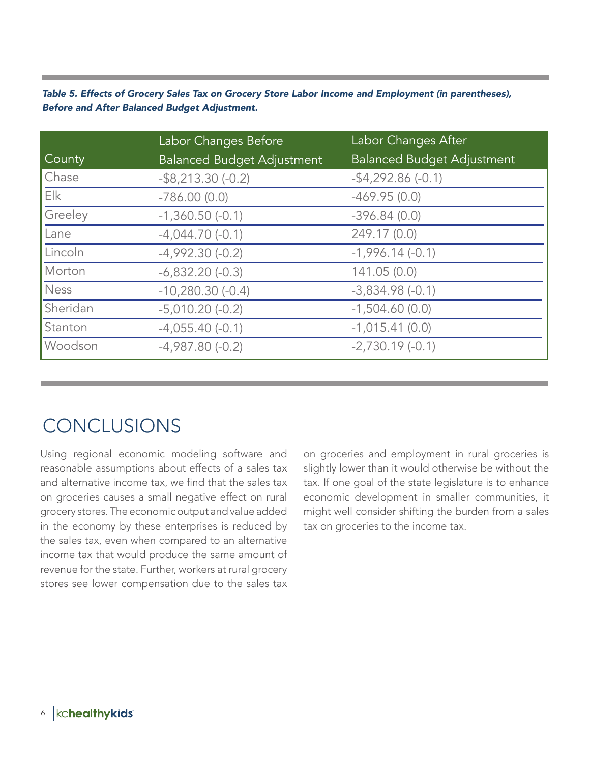#### *Table 5. Effects of Grocery Sales Tax on Grocery Store Labor Income and Employment (in parentheses), Before and After Balanced Budget Adjustment.*

|               | Labor Changes Before              | Labor Changes After               |
|---------------|-----------------------------------|-----------------------------------|
| <b>County</b> | <b>Balanced Budget Adjustment</b> | <b>Balanced Budget Adjustment</b> |
| Chase         | $-$ \$8,213.30 $(-0.2)$           | $-$ \$4,292.86 $(-0.1)$           |
| Elk           | $-786.00(0.0)$                    | $-469.95(0.0)$                    |
| Greeley       | $-1,360.50(-0.1)$                 | $-396.84(0.0)$                    |
| Lane          | $-4,044.70(-0.1)$                 | 249.17 (0.0)                      |
| Lincoln       | $-4,992.30(-0.2)$                 | $-1,996.14(-0.1)$                 |
| Morton        | $-6,832.20(-0.3)$                 | 141.05(0.0)                       |
| <b>Ness</b>   | $-10,280.30(-0.4)$                | $-3,834.98(-0.1)$                 |
| Sheridan      | $-5,010.20(-0.2)$                 | $-1,504.60(0.0)$                  |
| Stanton       | $-4,055.40(-0.1)$                 | $-1,015.41(0.0)$                  |
| Woodson       | $-4,987.80(-0.2)$                 | $-2,730.19(-0.1)$                 |

### **CONCLUSIONS**

Using regional economic modeling software and reasonable assumptions about effects of a sales tax and alternative income tax, we find that the sales tax on groceries causes a small negative effect on rural grocery stores. The economic output and value added in the economy by these enterprises is reduced by the sales tax, even when compared to an alternative income tax that would produce the same amount of revenue for the state. Further, workers at rural grocery stores see lower compensation due to the sales tax

on groceries and employment in rural groceries is slightly lower than it would otherwise be without the tax. If one goal of the state legislature is to enhance economic development in smaller communities, it might well consider shifting the burden from a sales tax on groceries to the income tax.